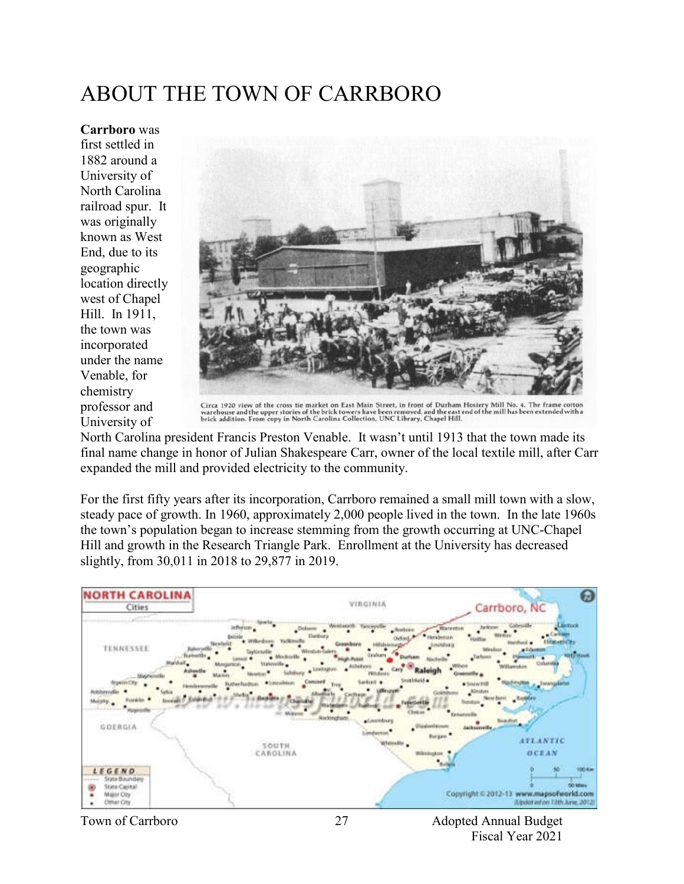# ABOUT THE TOWN OF CARRBORO

**Carrboro** was first settled in 1882 around a University of North Carolina railroad spur. It was originally known as West End, due to its geographic location directly west of Chapel Hill. In 1911, the town was incorporated under the name Venable, for chemistry professor and University of



Circa 1920 view of the cross tie market on East Main Street, in front of Durham Hosiery Mill No. 4. The frame cotton<br>warehouse and the upper stories of the brick towers have been removed, and the east end of the mill has b

North Carolina president Francis Preston Venable. It wasn't until 1913 that the town made its final name change in honor of Julian Shakespeare Carr, owner of the local textile mill, after Carr expanded the mill and provided electricity to the community.

For the first fifty years after its incorporation, Carrboro remained a small mill town with a slow, steady pace of growth. In 1960, approximately 2,000 people lived in the town. In the late 1960s the town's population began to increase stemming from the growth occurring at UNC-Chapel Hill and growth in the Research Triangle Park. Enrollment at the University has decreased slightly, from 30,011 in 2018 to 29,877 in 2019.

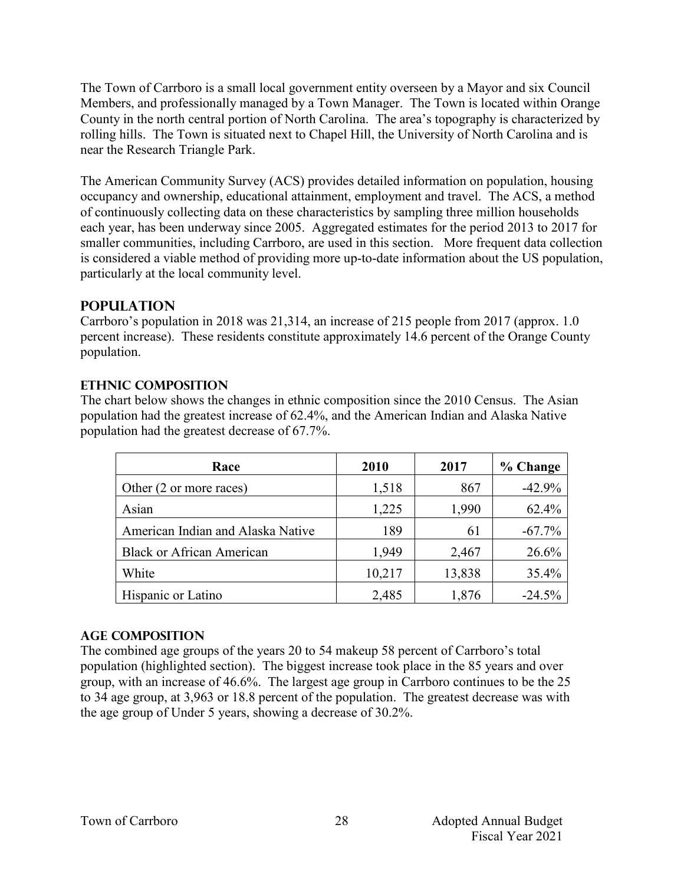The Town of Carrboro is a small local government entity overseen by a Mayor and six Council Members, and professionally managed by a Town Manager. The Town is located within Orange County in the north central portion of North Carolina. The area's topography is characterized by rolling hills. The Town is situated next to Chapel Hill, the University of North Carolina and is near the Research Triangle Park.

The American Community Survey (ACS) provides detailed information on population, housing occupancy and ownership, educational attainment, employment and travel. The ACS, a method of continuously collecting data on these characteristics by sampling three million households each year, has been underway since 2005. Aggregated estimates for the period 2013 to 2017 for smaller communities, including Carrboro, are used in this section. More frequent data collection is considered a viable method of providing more up-to-date information about the US population, particularly at the local community level.

## **Population**

Carrboro's population in 2018 was 21,314, an increase of 215 people from 2017 (approx. 1.0 percent increase). These residents constitute approximately 14.6 percent of the Orange County population.

## **Ethnic Composition**

The chart below shows the changes in ethnic composition since the 2010 Census. The Asian population had the greatest increase of 62.4%, and the American Indian and Alaska Native population had the greatest decrease of 67.7%.

| Race                              | 2010   | 2017   | % Change |
|-----------------------------------|--------|--------|----------|
| Other (2 or more races)           | 1,518  | 867    | $-42.9%$ |
| Asian                             | 1,225  | 1,990  | 62.4%    |
| American Indian and Alaska Native | 189    | 61     | $-67.7%$ |
| <b>Black or African American</b>  | 1,949  | 2,467  | 26.6%    |
| White                             | 10,217 | 13,838 | 35.4%    |
| Hispanic or Latino                | 2,485  | 1,876  | $-24.5%$ |

## **Age Composition**

The combined age groups of the years 20 to 54 makeup 58 percent of Carrboro's total population (highlighted section). The biggest increase took place in the 85 years and over group, with an increase of 46.6%. The largest age group in Carrboro continues to be the 25 to 34 age group, at 3,963 or 18.8 percent of the population. The greatest decrease was with the age group of Under 5 years, showing a decrease of 30.2%.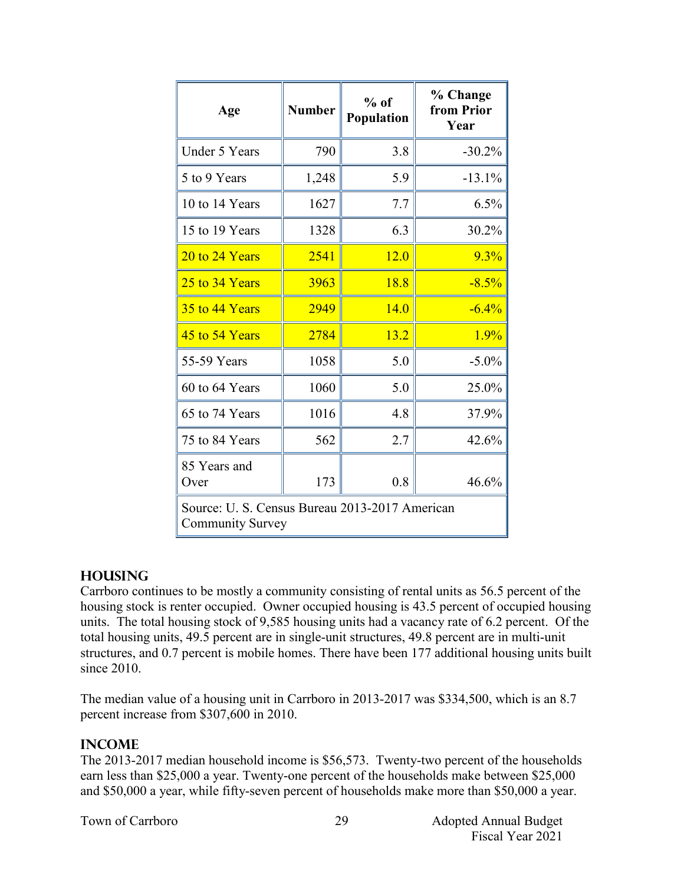| Age                                                                       | <b>Number</b> | $%$ of<br>Population | % Change<br>from Prior<br>Year |  |
|---------------------------------------------------------------------------|---------------|----------------------|--------------------------------|--|
| <b>Under 5 Years</b>                                                      | 790           | 3.8                  | $-30.2%$                       |  |
| 5 to 9 Years                                                              | 1,248         | 5.9                  | $-13.1%$                       |  |
| 10 to 14 Years                                                            | 1627          | 7.7                  | 6.5%                           |  |
| 15 to 19 Years                                                            | 1328          | 6.3                  | 30.2%                          |  |
| 20 to 24 Years                                                            | 2541          | 12.0                 | 9.3%                           |  |
| 25 to 34 Years                                                            | 3963          | 18.8                 | $-8.5%$                        |  |
| 35 to 44 Years                                                            | 2949          | 14.0                 | $-6.4%$                        |  |
| 45 to 54 Years                                                            | 2784          | 13.2                 | 1.9%                           |  |
| 55-59 Years                                                               | 1058          | 5.0                  | $-5.0\%$                       |  |
| 60 to 64 Years                                                            | 1060          | 5.0                  | 25.0%                          |  |
| 65 to 74 Years                                                            | 1016          | 4.8                  | 37.9%                          |  |
| 75 to 84 Years                                                            | 562           | 2.7                  | 42.6%                          |  |
| 85 Years and<br>Over                                                      | 173           | 0.8                  | 46.6%                          |  |
| Source: U. S. Census Bureau 2013-2017 American<br><b>Community Survey</b> |               |                      |                                |  |

## **Housing**

Carrboro continues to be mostly a community consisting of rental units as 56.5 percent of the housing stock is renter occupied. Owner occupied housing is 43.5 percent of occupied housing units. The total housing stock of 9,585 housing units had a vacancy rate of 6.2 percent. Of the total housing units, 49.5 percent are in single-unit structures, 49.8 percent are in multi-unit structures, and 0.7 percent is mobile homes. There have been 177 additional housing units built since 2010.

The median value of a housing unit in Carrboro in 2013-2017 was \$334,500, which is an 8.7 percent increase from \$307,600 in 2010.

## **Income**

The 2013-2017 median household income is \$56,573. Twenty-two percent of the households earn less than \$25,000 a year. Twenty-one percent of the households make between \$25,000 and \$50,000 a year, while fifty-seven percent of households make more than \$50,000 a year.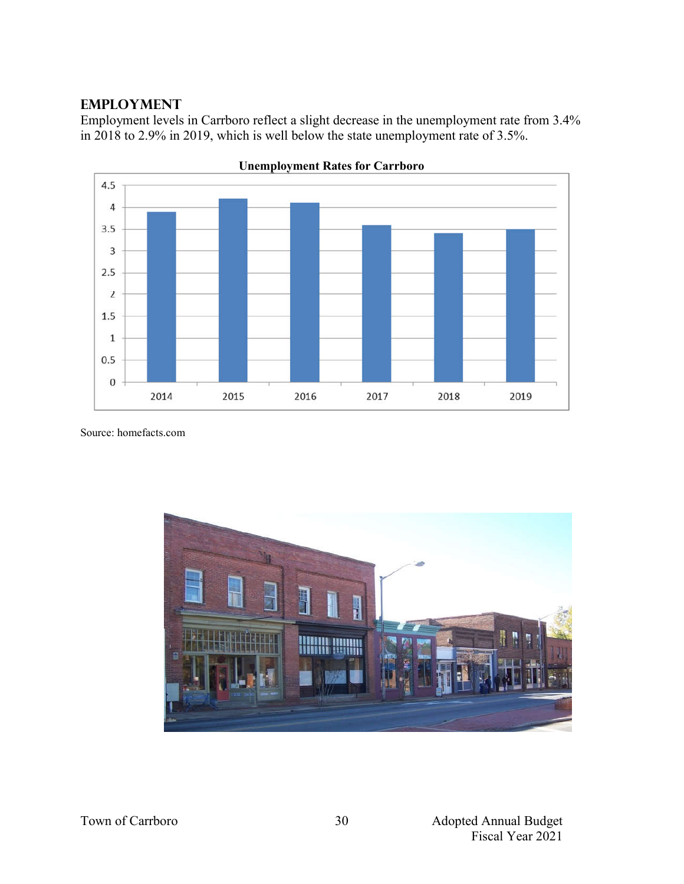## **Employment**

Employment levels in Carrboro reflect a slight decrease in the unemployment rate from 3.4% in 2018 to 2.9% in 2019, which is well below the state unemployment rate of 3.5%.



**Unemployment Rates for Carrboro**

Source: homefacts.com

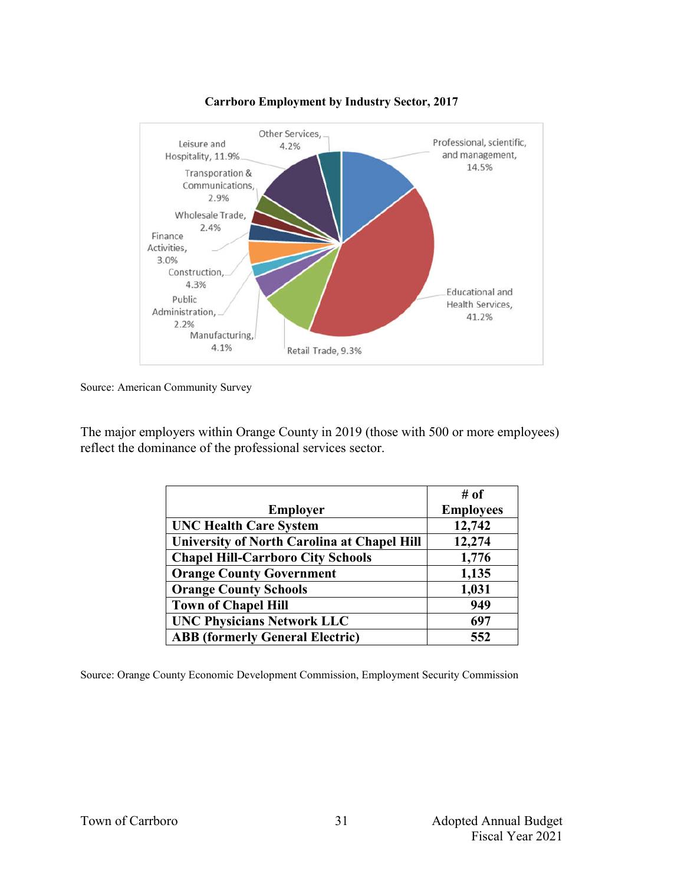

#### **Carrboro Employment by Industry Sector, 2017**

Source: American Community Survey

The major employers within Orange County in 2019 (those with 500 or more employees) reflect the dominance of the professional services sector.

|                                                    | # of             |
|----------------------------------------------------|------------------|
| <b>Employer</b>                                    | <b>Employees</b> |
| <b>UNC Health Care System</b>                      | 12,742           |
| <b>University of North Carolina at Chapel Hill</b> | 12,274           |
| <b>Chapel Hill-Carrboro City Schools</b>           | 1,776            |
| <b>Orange County Government</b>                    | 1,135            |
| <b>Orange County Schools</b>                       | 1,031            |
| <b>Town of Chapel Hill</b>                         | 949              |
| <b>UNC Physicians Network LLC</b>                  | 697              |
| <b>ABB</b> (formerly General Electric)             | 552              |

Source: Orange County Economic Development Commission, Employment Security Commission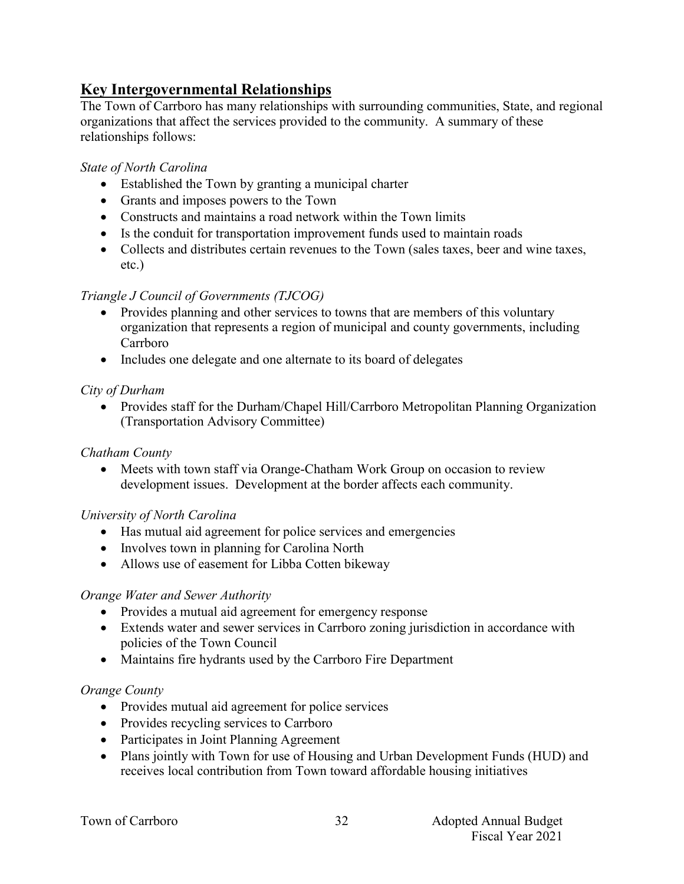# **Key Intergovernmental Relationships**

The Town of Carrboro has many relationships with surrounding communities, State, and regional organizations that affect the services provided to the community. A summary of these relationships follows:

## *State of North Carolina*

- Established the Town by granting a municipal charter
- Grants and imposes powers to the Town
- Constructs and maintains a road network within the Town limits
- Is the conduit for transportation improvement funds used to maintain roads
- Collects and distributes certain revenues to the Town (sales taxes, beer and wine taxes, etc.)

## *Triangle J Council of Governments (TJCOG)*

- Provides planning and other services to towns that are members of this voluntary organization that represents a region of municipal and county governments, including Carrboro
- Includes one delegate and one alternate to its board of delegates

## *City of Durham*

• Provides staff for the Durham/Chapel Hill/Carrboro Metropolitan Planning Organization (Transportation Advisory Committee)

## *Chatham County*

 Meets with town staff via Orange-Chatham Work Group on occasion to review development issues. Development at the border affects each community.

## *University of North Carolina*

- Has mutual aid agreement for police services and emergencies
- Involves town in planning for Carolina North
- Allows use of easement for Libba Cotten bikeway

## *Orange Water and Sewer Authority*

- Provides a mutual aid agreement for emergency response
- Extends water and sewer services in Carrboro zoning jurisdiction in accordance with policies of the Town Council
- Maintains fire hydrants used by the Carrboro Fire Department

## *Orange County*

- Provides mutual aid agreement for police services
- Provides recycling services to Carrboro
- Participates in Joint Planning Agreement
- Plans jointly with Town for use of Housing and Urban Development Funds (HUD) and receives local contribution from Town toward affordable housing initiatives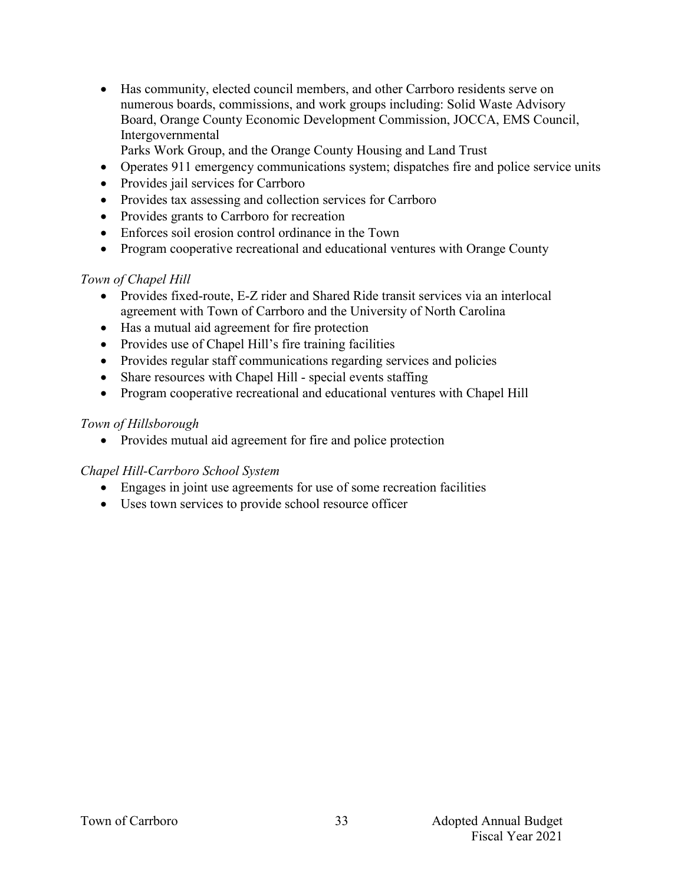Has community, elected council members, and other Carrboro residents serve on numerous boards, commissions, and work groups including: Solid Waste Advisory Board, Orange County Economic Development Commission, JOCCA, EMS Council, Intergovernmental

Parks Work Group, and the Orange County Housing and Land Trust

- Operates 911 emergency communications system; dispatches fire and police service units
- Provides jail services for Carrboro
- Provides tax assessing and collection services for Carrboro
- Provides grants to Carrboro for recreation
- Enforces soil erosion control ordinance in the Town
- Program cooperative recreational and educational ventures with Orange County

## *Town of Chapel Hill*

- Provides fixed-route, E-Z rider and Shared Ride transit services via an interlocal agreement with Town of Carrboro and the University of North Carolina
- Has a mutual aid agreement for fire protection
- Provides use of Chapel Hill's fire training facilities
- Provides regular staff communications regarding services and policies
- Share resources with Chapel Hill special events staffing
- Program cooperative recreational and educational ventures with Chapel Hill

## *Town of Hillsborough*

• Provides mutual aid agreement for fire and police protection

## *Chapel Hill-Carrboro School System*

- Engages in joint use agreements for use of some recreation facilities
- Uses town services to provide school resource officer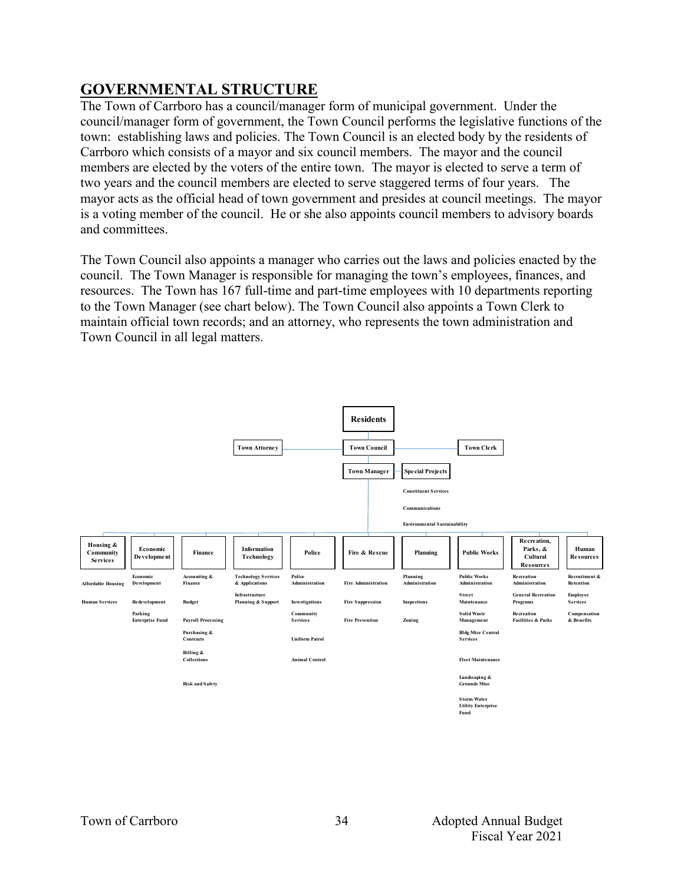# **GOVERNMENTAL STRUCTURE**

The Town of Carrboro has a council/manager form of municipal government. Under the council/manager form of government, the Town Council performs the legislative functions of the town: establishing laws and policies. The Town Council is an elected body by the residents of Carrboro which consists of a mayor and six council members. The mayor and the council members are elected by the voters of the entire town. The mayor is elected to serve a term of two years and the council members are elected to serve staggered terms of four years. The mayor acts as the official head of town government and presides at council meetings. The mayor is a voting member of the council. He or she also appoints council members to advisory boards and committees.

The Town Council also appoints a manager who carries out the laws and policies enacted by the council. The Town Manager is responsible for managing the town's employees, finances, and resources. The Town has 167 full-time and part-time employees with 10 departments reporting to the Town Manager (see chart below). The Town Council also appoints a Town Clerk to maintain official town records; and an attorney, who represents the town administration and Town Council in all legal matters.

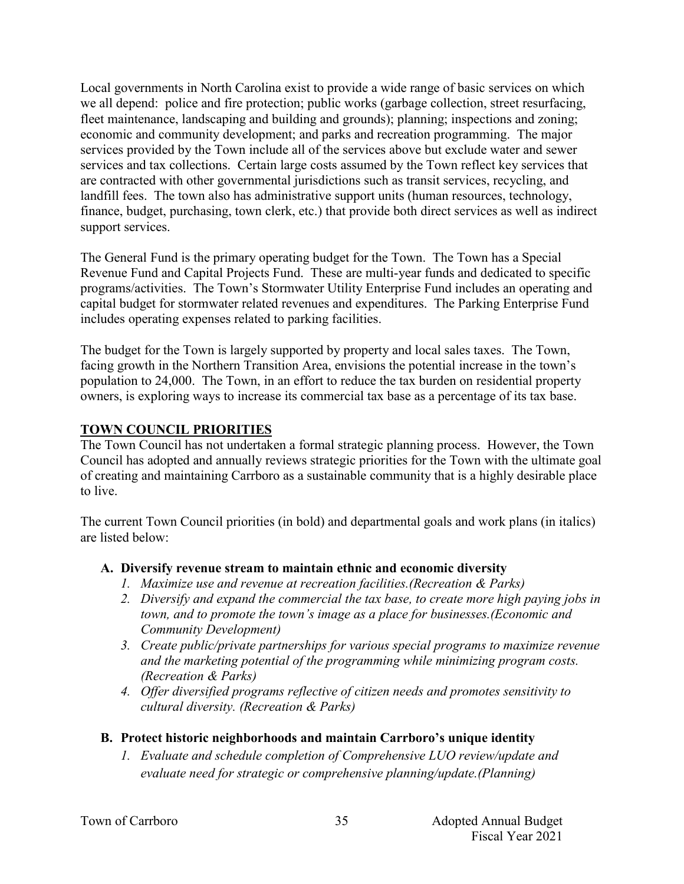Local governments in North Carolina exist to provide a wide range of basic services on which we all depend: police and fire protection; public works (garbage collection, street resurfacing, fleet maintenance, landscaping and building and grounds); planning; inspections and zoning; economic and community development; and parks and recreation programming. The major services provided by the Town include all of the services above but exclude water and sewer services and tax collections. Certain large costs assumed by the Town reflect key services that are contracted with other governmental jurisdictions such as transit services, recycling, and landfill fees. The town also has administrative support units (human resources, technology, finance, budget, purchasing, town clerk, etc.) that provide both direct services as well as indirect support services.

The General Fund is the primary operating budget for the Town. The Town has a Special Revenue Fund and Capital Projects Fund. These are multi-year funds and dedicated to specific programs/activities. The Town's Stormwater Utility Enterprise Fund includes an operating and capital budget for stormwater related revenues and expenditures. The Parking Enterprise Fund includes operating expenses related to parking facilities.

The budget for the Town is largely supported by property and local sales taxes. The Town, facing growth in the Northern Transition Area, envisions the potential increase in the town's population to 24,000. The Town, in an effort to reduce the tax burden on residential property owners, is exploring ways to increase its commercial tax base as a percentage of its tax base.

## **TOWN COUNCIL PRIORITIES**

The Town Council has not undertaken a formal strategic planning process. However, the Town Council has adopted and annually reviews strategic priorities for the Town with the ultimate goal of creating and maintaining Carrboro as a sustainable community that is a highly desirable place to live.

The current Town Council priorities (in bold) and departmental goals and work plans (in italics) are listed below:

## **A. Diversify revenue stream to maintain ethnic and economic diversity**

- *1. Maximize use and revenue at recreation facilities.(Recreation & Parks)*
- *2. Diversify and expand the commercial the tax base, to create more high paying jobs in town, and to promote the town's image as a place for businesses.(Economic and Community Development)*
- *3. Create public/private partnerships for various special programs to maximize revenue and the marketing potential of the programming while minimizing program costs. (Recreation & Parks)*
- *4. Offer diversified programs reflective of citizen needs and promotes sensitivity to cultural diversity. (Recreation & Parks)*

## **B. Protect historic neighborhoods and maintain Carrboro's unique identity**

*1. Evaluate and schedule completion of Comprehensive LUO review/update and evaluate need for strategic or comprehensive planning/update.(Planning)*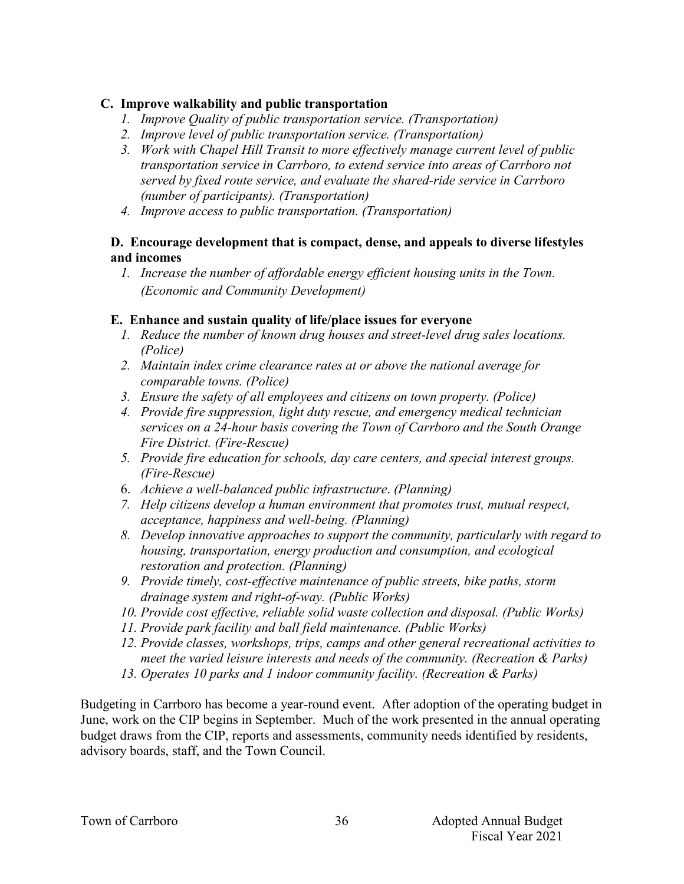## **C. Improve walkability and public transportation**

- *1. Improve Quality of public transportation service. (Transportation)*
- *2. Improve level of public transportation service. (Transportation)*
- *3. Work with Chapel Hill Transit to more effectively manage current level of public transportation service in Carrboro, to extend service into areas of Carrboro not served by fixed route service, and evaluate the shared-ride service in Carrboro (number of participants). (Transportation)*
- *4. Improve access to public transportation. (Transportation)*

### **D. Encourage development that is compact, dense, and appeals to diverse lifestyles and incomes**

*1. Increase the number of affordable energy efficient housing units in the Town. (Economic and Community Development)*

## **E. Enhance and sustain quality of life/place issues for everyone**

- *1. Reduce the number of known drug houses and street-level drug sales locations. (Police)*
- *2. Maintain index crime clearance rates at or above the national average for comparable towns. (Police)*
- *3. Ensure the safety of all employees and citizens on town property. (Police)*
- *4. Provide fire suppression, light duty rescue, and emergency medical technician services on a 24-hour basis covering the Town of Carrboro and the South Orange Fire District. (Fire-Rescue)*
- *5. Provide fire education for schools, day care centers, and special interest groups. (Fire-Rescue)*
- 6. *Achieve a well-balanced public infrastructure*. *(Planning)*
- *7. Help citizens develop a human environment that promotes trust, mutual respect, acceptance, happiness and well-being. (Planning)*
- *8. Develop innovative approaches to support the community, particularly with regard to housing, transportation, energy production and consumption, and ecological restoration and protection. (Planning)*
- *9. Provide timely, cost-effective maintenance of public streets, bike paths, storm drainage system and right-of-way. (Public Works)*
- *10. Provide cost effective, reliable solid waste collection and disposal. (Public Works)*
- *11. Provide park facility and ball field maintenance. (Public Works)*
- *12. Provide classes, workshops, trips, camps and other general recreational activities to meet the varied leisure interests and needs of the community. (Recreation & Parks)*
- *13. Operates 10 parks and 1 indoor community facility. (Recreation & Parks)*

Budgeting in Carrboro has become a year-round event. After adoption of the operating budget in June, work on the CIP begins in September. Much of the work presented in the annual operating budget draws from the CIP, reports and assessments, community needs identified by residents, advisory boards, staff, and the Town Council.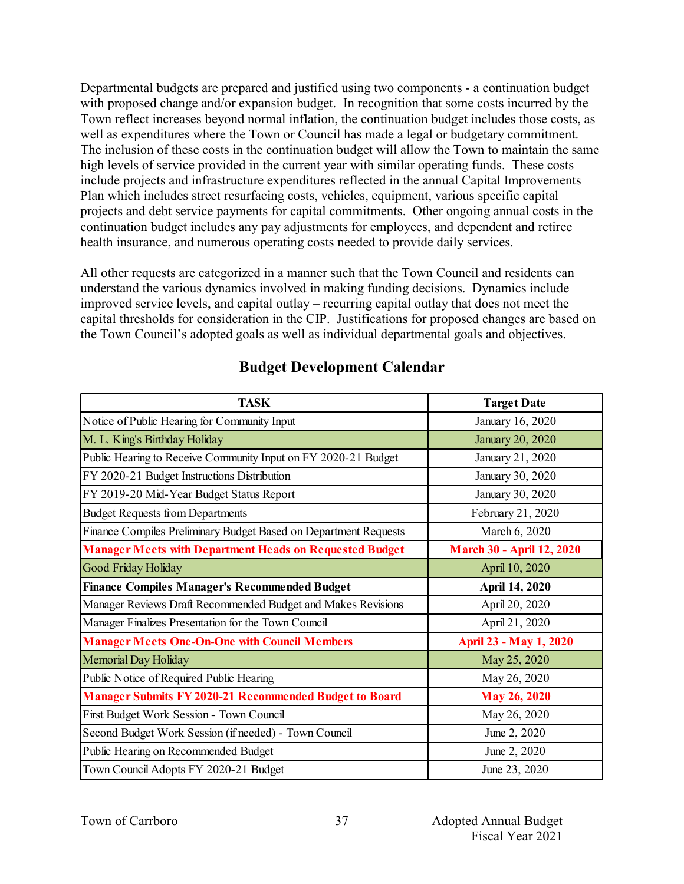Departmental budgets are prepared and justified using two components - a continuation budget with proposed change and/or expansion budget. In recognition that some costs incurred by the Town reflect increases beyond normal inflation, the continuation budget includes those costs, as well as expenditures where the Town or Council has made a legal or budgetary commitment. The inclusion of these costs in the continuation budget will allow the Town to maintain the same high levels of service provided in the current year with similar operating funds. These costs include projects and infrastructure expenditures reflected in the annual Capital Improvements Plan which includes street resurfacing costs, vehicles, equipment, various specific capital projects and debt service payments for capital commitments. Other ongoing annual costs in the continuation budget includes any pay adjustments for employees, and dependent and retiree health insurance, and numerous operating costs needed to provide daily services.

All other requests are categorized in a manner such that the Town Council and residents can understand the various dynamics involved in making funding decisions. Dynamics include improved service levels, and capital outlay – recurring capital outlay that does not meet the capital thresholds for consideration in the CIP. Justifications for proposed changes are based on the Town Council's adopted goals as well as individual departmental goals and objectives.

| <b>TASK</b>                                                      | <b>Target Date</b>               |  |
|------------------------------------------------------------------|----------------------------------|--|
| Notice of Public Hearing for Community Input                     | January 16, 2020                 |  |
| M. L. King's Birthday Holiday                                    | January 20, 2020                 |  |
| Public Hearing to Receive Community Input on FY 2020-21 Budget   | January 21, 2020                 |  |
| FY 2020-21 Budget Instructions Distribution                      | January 30, 2020                 |  |
| FY 2019-20 Mid-Year Budget Status Report                         | January 30, 2020                 |  |
| <b>Budget Requests from Departments</b>                          | February 21, 2020                |  |
| Finance Compiles Preliminary Budget Based on Department Requests | March 6, 2020                    |  |
| <b>Manager Meets with Department Heads on Requested Budget</b>   | <b>March 30 - April 12, 2020</b> |  |
| Good Friday Holiday                                              | April 10, 2020                   |  |
| <b>Finance Compiles Manager's Recommended Budget</b>             | April 14, 2020                   |  |
| Manager Reviews Draft Recommended Budget and Makes Revisions     | April 20, 2020                   |  |
| Manager Finalizes Presentation for the Town Council              | April 21, 2020                   |  |
| <b>Manager Meets One-On-One with Council Members</b>             | April 23 - May 1, 2020           |  |
| Memorial Day Holiday                                             | May 25, 2020                     |  |
| Public Notice of Required Public Hearing                         | May 26, 2020                     |  |
| <b>Manager Submits FY 2020-21 Recommended Budget to Board</b>    | May 26, 2020                     |  |
| First Budget Work Session - Town Council                         | May 26, 2020                     |  |
| Second Budget Work Session (if needed) - Town Council            | June 2, 2020                     |  |
| Public Hearing on Recommended Budget                             | June 2, 2020                     |  |
| Town Council Adopts FY 2020-21 Budget                            | June 23, 2020                    |  |

## **Budget Development Calendar**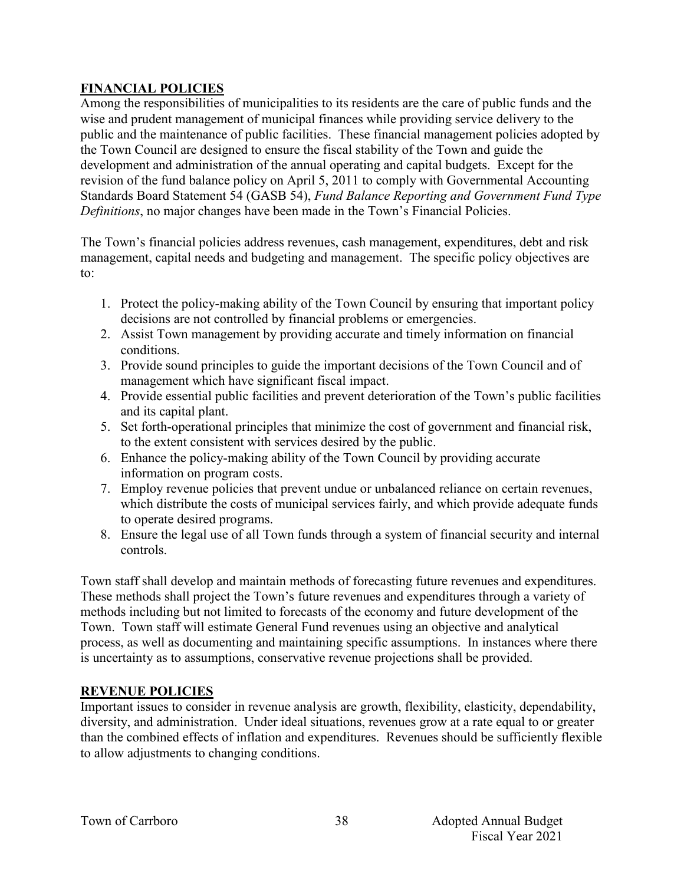## **FINANCIAL POLICIES**

Among the responsibilities of municipalities to its residents are the care of public funds and the wise and prudent management of municipal finances while providing service delivery to the public and the maintenance of public facilities. These financial management policies adopted by the Town Council are designed to ensure the fiscal stability of the Town and guide the development and administration of the annual operating and capital budgets. Except for the revision of the fund balance policy on April 5, 2011 to comply with Governmental Accounting Standards Board Statement 54 (GASB 54), *Fund Balance Reporting and Government Fund Type Definitions*, no major changes have been made in the Town's Financial Policies.

The Town's financial policies address revenues, cash management, expenditures, debt and risk management, capital needs and budgeting and management. The specific policy objectives are to:

- 1. Protect the policy-making ability of the Town Council by ensuring that important policy decisions are not controlled by financial problems or emergencies.
- 2. Assist Town management by providing accurate and timely information on financial conditions.
- 3. Provide sound principles to guide the important decisions of the Town Council and of management which have significant fiscal impact.
- 4. Provide essential public facilities and prevent deterioration of the Town's public facilities and its capital plant.
- 5. Set forth-operational principles that minimize the cost of government and financial risk, to the extent consistent with services desired by the public.
- 6. Enhance the policy-making ability of the Town Council by providing accurate information on program costs.
- 7. Employ revenue policies that prevent undue or unbalanced reliance on certain revenues, which distribute the costs of municipal services fairly, and which provide adequate funds to operate desired programs.
- 8. Ensure the legal use of all Town funds through a system of financial security and internal controls.

Town staff shall develop and maintain methods of forecasting future revenues and expenditures. These methods shall project the Town's future revenues and expenditures through a variety of methods including but not limited to forecasts of the economy and future development of the Town. Town staff will estimate General Fund revenues using an objective and analytical process, as well as documenting and maintaining specific assumptions. In instances where there is uncertainty as to assumptions, conservative revenue projections shall be provided.

## **REVENUE POLICIES**

Important issues to consider in revenue analysis are growth, flexibility, elasticity, dependability, diversity, and administration. Under ideal situations, revenues grow at a rate equal to or greater than the combined effects of inflation and expenditures. Revenues should be sufficiently flexible to allow adjustments to changing conditions.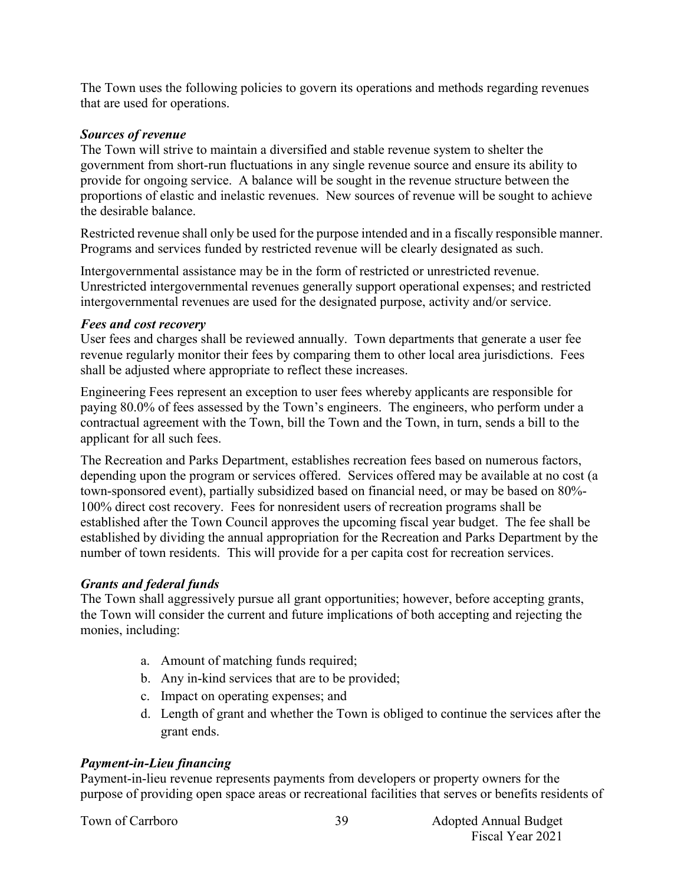The Town uses the following policies to govern its operations and methods regarding revenues that are used for operations.

#### *Sources of revenue*

The Town will strive to maintain a diversified and stable revenue system to shelter the government from short-run fluctuations in any single revenue source and ensure its ability to provide for ongoing service. A balance will be sought in the revenue structure between the proportions of elastic and inelastic revenues. New sources of revenue will be sought to achieve the desirable balance.

Restricted revenue shall only be used for the purpose intended and in a fiscally responsible manner. Programs and services funded by restricted revenue will be clearly designated as such.

Intergovernmental assistance may be in the form of restricted or unrestricted revenue. Unrestricted intergovernmental revenues generally support operational expenses; and restricted intergovernmental revenues are used for the designated purpose, activity and/or service.

#### *Fees and cost recovery*

User fees and charges shall be reviewed annually. Town departments that generate a user fee revenue regularly monitor their fees by comparing them to other local area jurisdictions. Fees shall be adjusted where appropriate to reflect these increases.

Engineering Fees represent an exception to user fees whereby applicants are responsible for paying 80.0% of fees assessed by the Town's engineers. The engineers, who perform under a contractual agreement with the Town, bill the Town and the Town, in turn, sends a bill to the applicant for all such fees.

The Recreation and Parks Department, establishes recreation fees based on numerous factors, depending upon the program or services offered. Services offered may be available at no cost (a town-sponsored event), partially subsidized based on financial need, or may be based on 80%- 100% direct cost recovery. Fees for nonresident users of recreation programs shall be established after the Town Council approves the upcoming fiscal year budget. The fee shall be established by dividing the annual appropriation for the Recreation and Parks Department by the number of town residents. This will provide for a per capita cost for recreation services.

## *Grants and federal funds*

The Town shall aggressively pursue all grant opportunities; however, before accepting grants, the Town will consider the current and future implications of both accepting and rejecting the monies, including:

- a. Amount of matching funds required;
- b. Any in-kind services that are to be provided;
- c. Impact on operating expenses; and
- d. Length of grant and whether the Town is obliged to continue the services after the grant ends.

## *Payment-in-Lieu financing*

Payment-in-lieu revenue represents payments from developers or property owners for the purpose of providing open space areas or recreational facilities that serves or benefits residents of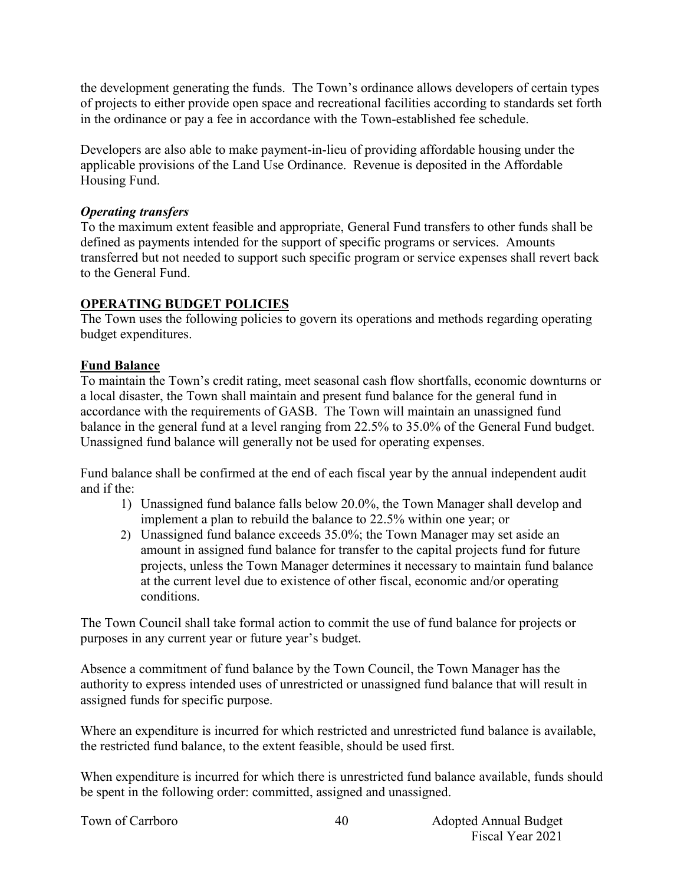the development generating the funds. The Town's ordinance allows developers of certain types of projects to either provide open space and recreational facilities according to standards set forth in the ordinance or pay a fee in accordance with the Town-established fee schedule.

Developers are also able to make payment-in-lieu of providing affordable housing under the applicable provisions of the Land Use Ordinance. Revenue is deposited in the Affordable Housing Fund.

### *Operating transfers*

To the maximum extent feasible and appropriate, General Fund transfers to other funds shall be defined as payments intended for the support of specific programs or services. Amounts transferred but not needed to support such specific program or service expenses shall revert back to the General Fund.

## **OPERATING BUDGET POLICIES**

The Town uses the following policies to govern its operations and methods regarding operating budget expenditures.

## **Fund Balance**

To maintain the Town's credit rating, meet seasonal cash flow shortfalls, economic downturns or a local disaster, the Town shall maintain and present fund balance for the general fund in accordance with the requirements of GASB. The Town will maintain an unassigned fund balance in the general fund at a level ranging from 22.5% to 35.0% of the General Fund budget. Unassigned fund balance will generally not be used for operating expenses.

Fund balance shall be confirmed at the end of each fiscal year by the annual independent audit and if the:

- 1) Unassigned fund balance falls below 20.0%, the Town Manager shall develop and implement a plan to rebuild the balance to 22.5% within one year; or
- 2) Unassigned fund balance exceeds 35.0%; the Town Manager may set aside an amount in assigned fund balance for transfer to the capital projects fund for future projects, unless the Town Manager determines it necessary to maintain fund balance at the current level due to existence of other fiscal, economic and/or operating conditions.

The Town Council shall take formal action to commit the use of fund balance for projects or purposes in any current year or future year's budget.

Absence a commitment of fund balance by the Town Council, the Town Manager has the authority to express intended uses of unrestricted or unassigned fund balance that will result in assigned funds for specific purpose.

Where an expenditure is incurred for which restricted and unrestricted fund balance is available, the restricted fund balance, to the extent feasible, should be used first.

When expenditure is incurred for which there is unrestricted fund balance available, funds should be spent in the following order: committed, assigned and unassigned.

40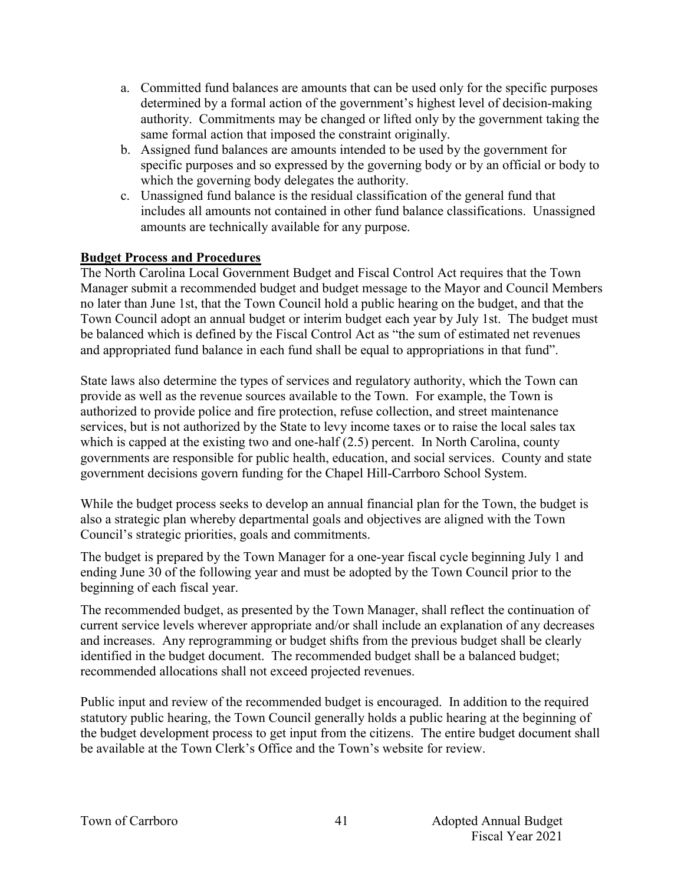- a. Committed fund balances are amounts that can be used only for the specific purposes determined by a formal action of the government's highest level of decision-making authority. Commitments may be changed or lifted only by the government taking the same formal action that imposed the constraint originally.
- b. Assigned fund balances are amounts intended to be used by the government for specific purposes and so expressed by the governing body or by an official or body to which the governing body delegates the authority.
- c. Unassigned fund balance is the residual classification of the general fund that includes all amounts not contained in other fund balance classifications. Unassigned amounts are technically available for any purpose.

## **Budget Process and Procedures**

The North Carolina Local Government Budget and Fiscal Control Act requires that the Town Manager submit a recommended budget and budget message to the Mayor and Council Members no later than June 1st, that the Town Council hold a public hearing on the budget, and that the Town Council adopt an annual budget or interim budget each year by July 1st. The budget must be balanced which is defined by the Fiscal Control Act as "the sum of estimated net revenues and appropriated fund balance in each fund shall be equal to appropriations in that fund".

State laws also determine the types of services and regulatory authority, which the Town can provide as well as the revenue sources available to the Town. For example, the Town is authorized to provide police and fire protection, refuse collection, and street maintenance services, but is not authorized by the State to levy income taxes or to raise the local sales tax which is capped at the existing two and one-half (2.5) percent. In North Carolina, county governments are responsible for public health, education, and social services. County and state government decisions govern funding for the Chapel Hill-Carrboro School System.

While the budget process seeks to develop an annual financial plan for the Town, the budget is also a strategic plan whereby departmental goals and objectives are aligned with the Town Council's strategic priorities, goals and commitments.

The budget is prepared by the Town Manager for a one-year fiscal cycle beginning July 1 and ending June 30 of the following year and must be adopted by the Town Council prior to the beginning of each fiscal year.

The recommended budget, as presented by the Town Manager, shall reflect the continuation of current service levels wherever appropriate and/or shall include an explanation of any decreases and increases. Any reprogramming or budget shifts from the previous budget shall be clearly identified in the budget document. The recommended budget shall be a balanced budget; recommended allocations shall not exceed projected revenues.

Public input and review of the recommended budget is encouraged. In addition to the required statutory public hearing, the Town Council generally holds a public hearing at the beginning of the budget development process to get input from the citizens. The entire budget document shall be available at the Town Clerk's Office and the Town's website for review.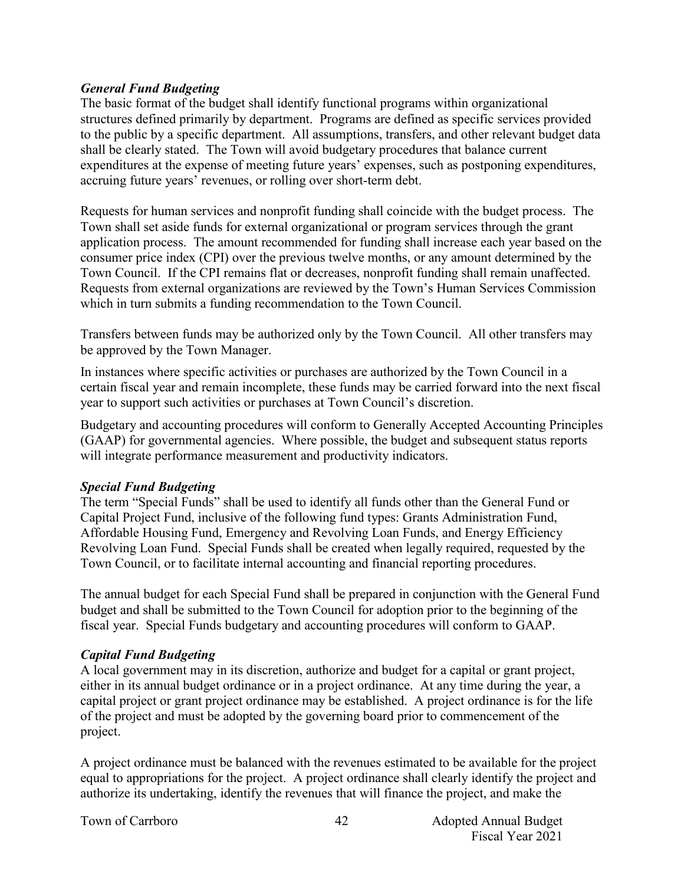#### *General Fund Budgeting*

The basic format of the budget shall identify functional programs within organizational structures defined primarily by department. Programs are defined as specific services provided to the public by a specific department. All assumptions, transfers, and other relevant budget data shall be clearly stated. The Town will avoid budgetary procedures that balance current expenditures at the expense of meeting future years' expenses, such as postponing expenditures, accruing future years' revenues, or rolling over short-term debt.

Requests for human services and nonprofit funding shall coincide with the budget process. The Town shall set aside funds for external organizational or program services through the grant application process. The amount recommended for funding shall increase each year based on the consumer price index (CPI) over the previous twelve months, or any amount determined by the Town Council. If the CPI remains flat or decreases, nonprofit funding shall remain unaffected. Requests from external organizations are reviewed by the Town's Human Services Commission which in turn submits a funding recommendation to the Town Council.

Transfers between funds may be authorized only by the Town Council. All other transfers may be approved by the Town Manager.

In instances where specific activities or purchases are authorized by the Town Council in a certain fiscal year and remain incomplete, these funds may be carried forward into the next fiscal year to support such activities or purchases at Town Council's discretion.

Budgetary and accounting procedures will conform to Generally Accepted Accounting Principles (GAAP) for governmental agencies. Where possible, the budget and subsequent status reports will integrate performance measurement and productivity indicators.

## *Special Fund Budgeting*

The term "Special Funds" shall be used to identify all funds other than the General Fund or Capital Project Fund, inclusive of the following fund types: Grants Administration Fund, Affordable Housing Fund, Emergency and Revolving Loan Funds, and Energy Efficiency Revolving Loan Fund. Special Funds shall be created when legally required, requested by the Town Council, or to facilitate internal accounting and financial reporting procedures.

The annual budget for each Special Fund shall be prepared in conjunction with the General Fund budget and shall be submitted to the Town Council for adoption prior to the beginning of the fiscal year. Special Funds budgetary and accounting procedures will conform to GAAP.

## *Capital Fund Budgeting*

A local government may in its discretion, authorize and budget for a capital or grant project, either in its annual budget ordinance or in a project ordinance. At any time during the year, a capital project or grant project ordinance may be established. A project ordinance is for the life of the project and must be adopted by the governing board prior to commencement of the project.

A project ordinance must be balanced with the revenues estimated to be available for the project equal to appropriations for the project. A project ordinance shall clearly identify the project and authorize its undertaking, identify the revenues that will finance the project, and make the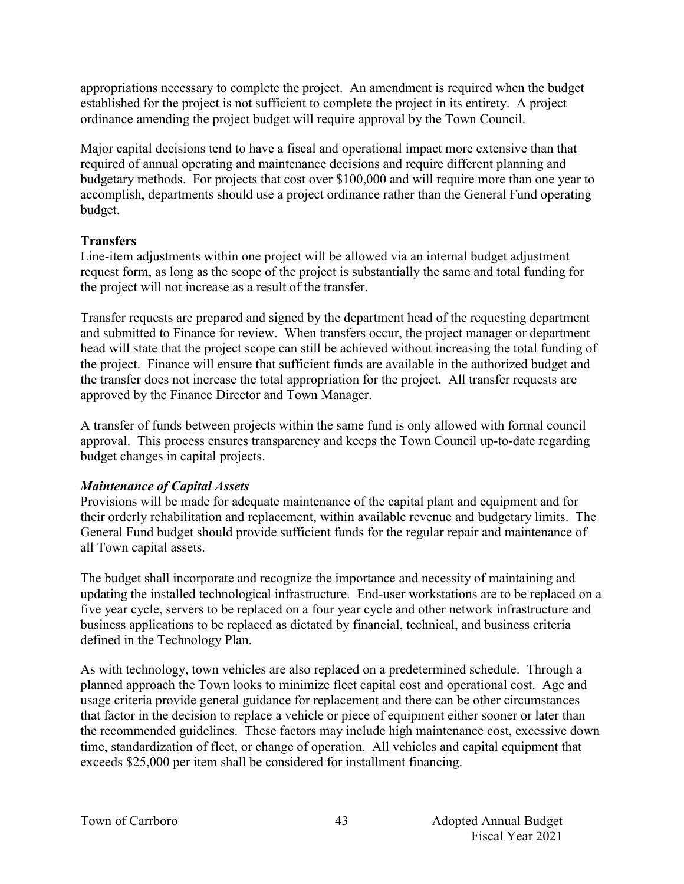appropriations necessary to complete the project. An amendment is required when the budget established for the project is not sufficient to complete the project in its entirety. A project ordinance amending the project budget will require approval by the Town Council.

Major capital decisions tend to have a fiscal and operational impact more extensive than that required of annual operating and maintenance decisions and require different planning and budgetary methods. For projects that cost over \$100,000 and will require more than one year to accomplish, departments should use a project ordinance rather than the General Fund operating budget.

## **Transfers**

Line-item adjustments within one project will be allowed via an internal budget adjustment request form, as long as the scope of the project is substantially the same and total funding for the project will not increase as a result of the transfer.

Transfer requests are prepared and signed by the department head of the requesting department and submitted to Finance for review. When transfers occur, the project manager or department head will state that the project scope can still be achieved without increasing the total funding of the project. Finance will ensure that sufficient funds are available in the authorized budget and the transfer does not increase the total appropriation for the project. All transfer requests are approved by the Finance Director and Town Manager.

A transfer of funds between projects within the same fund is only allowed with formal council approval. This process ensures transparency and keeps the Town Council up-to-date regarding budget changes in capital projects.

## *Maintenance of Capital Assets*

Provisions will be made for adequate maintenance of the capital plant and equipment and for their orderly rehabilitation and replacement, within available revenue and budgetary limits. The General Fund budget should provide sufficient funds for the regular repair and maintenance of all Town capital assets.

The budget shall incorporate and recognize the importance and necessity of maintaining and updating the installed technological infrastructure. End-user workstations are to be replaced on a five year cycle, servers to be replaced on a four year cycle and other network infrastructure and business applications to be replaced as dictated by financial, technical, and business criteria defined in the Technology Plan.

As with technology, town vehicles are also replaced on a predetermined schedule. Through a planned approach the Town looks to minimize fleet capital cost and operational cost. Age and usage criteria provide general guidance for replacement and there can be other circumstances that factor in the decision to replace a vehicle or piece of equipment either sooner or later than the recommended guidelines. These factors may include high maintenance cost, excessive down time, standardization of fleet, or change of operation. All vehicles and capital equipment that exceeds \$25,000 per item shall be considered for installment financing.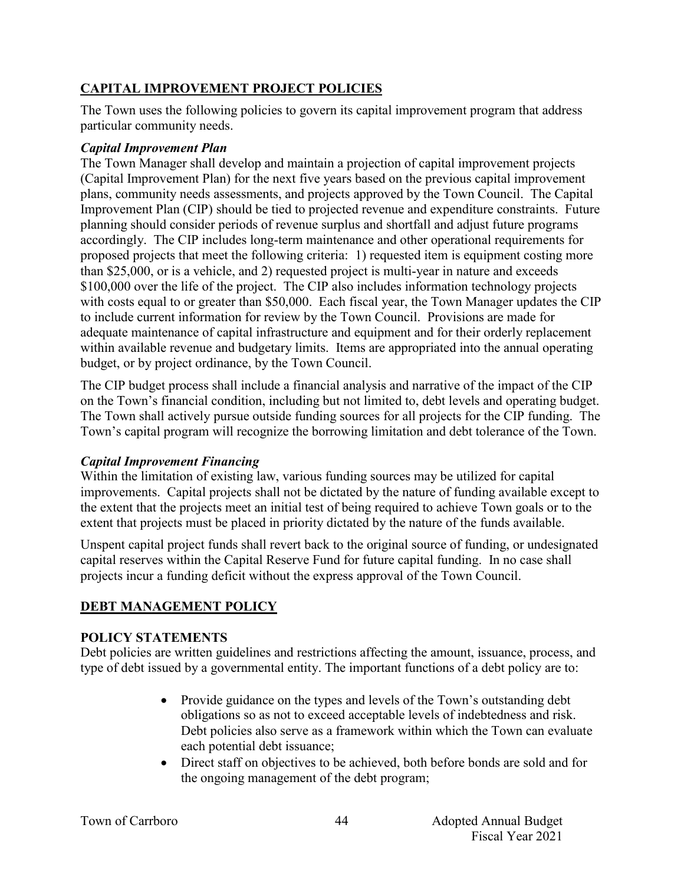## **CAPITAL IMPROVEMENT PROJECT POLICIES**

The Town uses the following policies to govern its capital improvement program that address particular community needs.

### *Capital Improvement Plan*

The Town Manager shall develop and maintain a projection of capital improvement projects (Capital Improvement Plan) for the next five years based on the previous capital improvement plans, community needs assessments, and projects approved by the Town Council. The Capital Improvement Plan (CIP) should be tied to projected revenue and expenditure constraints. Future planning should consider periods of revenue surplus and shortfall and adjust future programs accordingly. The CIP includes long-term maintenance and other operational requirements for proposed projects that meet the following criteria: 1) requested item is equipment costing more than \$25,000, or is a vehicle, and 2) requested project is multi-year in nature and exceeds \$100,000 over the life of the project. The CIP also includes information technology projects with costs equal to or greater than \$50,000. Each fiscal year, the Town Manager updates the CIP to include current information for review by the Town Council. Provisions are made for adequate maintenance of capital infrastructure and equipment and for their orderly replacement within available revenue and budgetary limits. Items are appropriated into the annual operating budget, or by project ordinance, by the Town Council.

The CIP budget process shall include a financial analysis and narrative of the impact of the CIP on the Town's financial condition, including but not limited to, debt levels and operating budget. The Town shall actively pursue outside funding sources for all projects for the CIP funding. The Town's capital program will recognize the borrowing limitation and debt tolerance of the Town.

## *Capital Improvement Financing*

Within the limitation of existing law, various funding sources may be utilized for capital improvements. Capital projects shall not be dictated by the nature of funding available except to the extent that the projects meet an initial test of being required to achieve Town goals or to the extent that projects must be placed in priority dictated by the nature of the funds available.

Unspent capital project funds shall revert back to the original source of funding, or undesignated capital reserves within the Capital Reserve Fund for future capital funding. In no case shall projects incur a funding deficit without the express approval of the Town Council.

## **DEBT MANAGEMENT POLICY**

## **POLICY STATEMENTS**

Debt policies are written guidelines and restrictions affecting the amount, issuance, process, and type of debt issued by a governmental entity. The important functions of a debt policy are to:

- Provide guidance on the types and levels of the Town's outstanding debt obligations so as not to exceed acceptable levels of indebtedness and risk. Debt policies also serve as a framework within which the Town can evaluate each potential debt issuance;
- Direct staff on objectives to be achieved, both before bonds are sold and for the ongoing management of the debt program;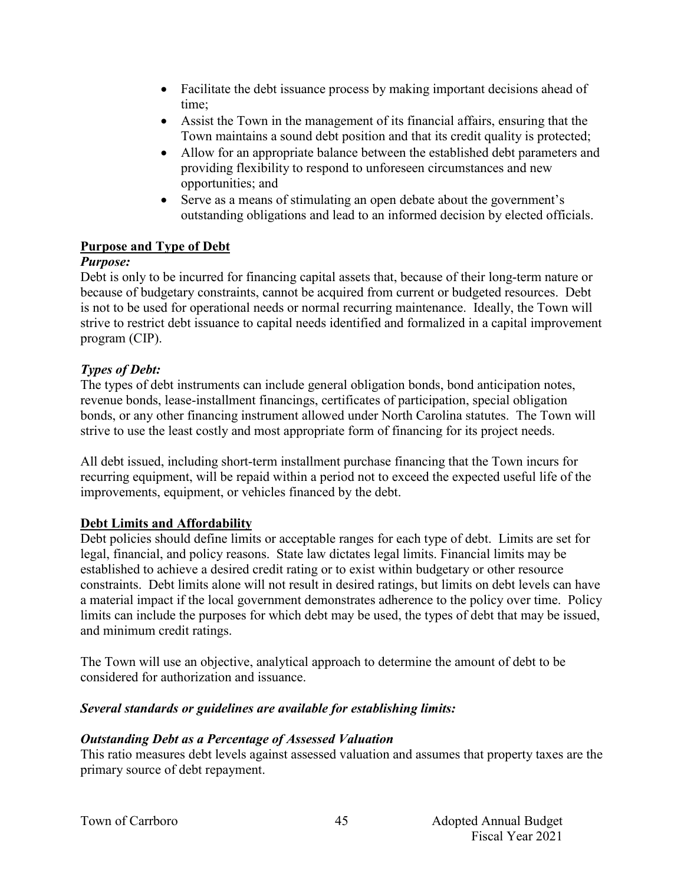- Facilitate the debt issuance process by making important decisions ahead of time;
- Assist the Town in the management of its financial affairs, ensuring that the Town maintains a sound debt position and that its credit quality is protected;
- Allow for an appropriate balance between the established debt parameters and providing flexibility to respond to unforeseen circumstances and new opportunities; and
- Serve as a means of stimulating an open debate about the government's outstanding obligations and lead to an informed decision by elected officials.

## **Purpose and Type of Debt**

## *Purpose:*

Debt is only to be incurred for financing capital assets that, because of their long-term nature or because of budgetary constraints, cannot be acquired from current or budgeted resources. Debt is not to be used for operational needs or normal recurring maintenance. Ideally, the Town will strive to restrict debt issuance to capital needs identified and formalized in a capital improvement program (CIP).

## *Types of Debt:*

The types of debt instruments can include general obligation bonds, bond anticipation notes, revenue bonds, lease-installment financings, certificates of participation, special obligation bonds, or any other financing instrument allowed under North Carolina statutes. The Town will strive to use the least costly and most appropriate form of financing for its project needs.

All debt issued, including short-term installment purchase financing that the Town incurs for recurring equipment, will be repaid within a period not to exceed the expected useful life of the improvements, equipment, or vehicles financed by the debt.

## **Debt Limits and Affordability**

Debt policies should define limits or acceptable ranges for each type of debt. Limits are set for legal, financial, and policy reasons. State law dictates legal limits. Financial limits may be established to achieve a desired credit rating or to exist within budgetary or other resource constraints. Debt limits alone will not result in desired ratings, but limits on debt levels can have a material impact if the local government demonstrates adherence to the policy over time. Policy limits can include the purposes for which debt may be used, the types of debt that may be issued, and minimum credit ratings.

The Town will use an objective, analytical approach to determine the amount of debt to be considered for authorization and issuance.

## *Several standards or guidelines are available for establishing limits:*

## *Outstanding Debt as a Percentage of Assessed Valuation*

This ratio measures debt levels against assessed valuation and assumes that property taxes are the primary source of debt repayment.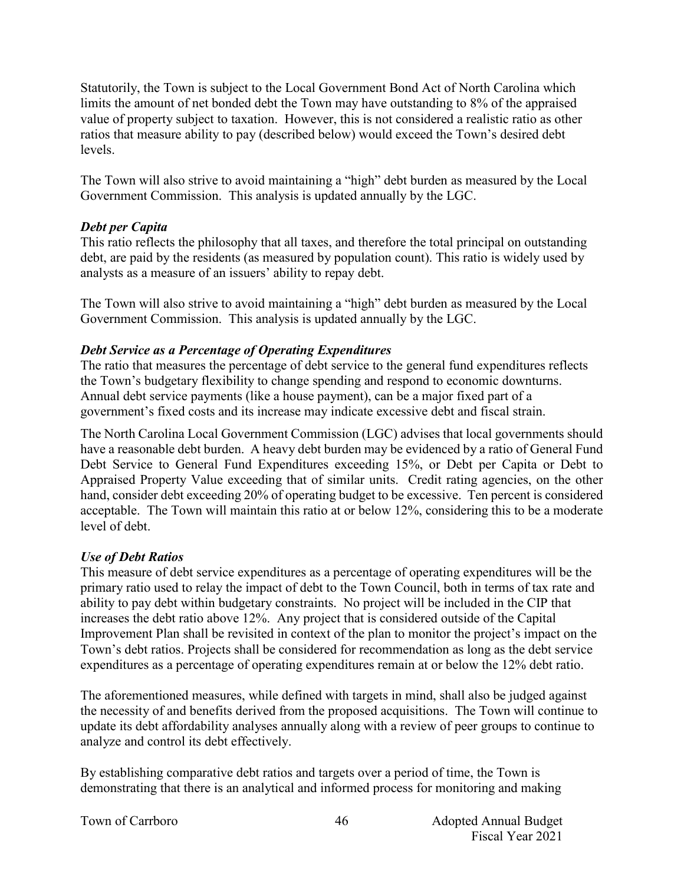Statutorily, the Town is subject to the Local Government Bond Act of North Carolina which limits the amount of net bonded debt the Town may have outstanding to 8% of the appraised value of property subject to taxation. However, this is not considered a realistic ratio as other ratios that measure ability to pay (described below) would exceed the Town's desired debt levels.

The Town will also strive to avoid maintaining a "high" debt burden as measured by the Local Government Commission. This analysis is updated annually by the LGC.

#### *Debt per Capita*

This ratio reflects the philosophy that all taxes, and therefore the total principal on outstanding debt, are paid by the residents (as measured by population count). This ratio is widely used by analysts as a measure of an issuers' ability to repay debt.

The Town will also strive to avoid maintaining a "high" debt burden as measured by the Local Government Commission. This analysis is updated annually by the LGC.

## *Debt Service as a Percentage of Operating Expenditures*

The ratio that measures the percentage of debt service to the general fund expenditures reflects the Town's budgetary flexibility to change spending and respond to economic downturns. Annual debt service payments (like a house payment), can be a major fixed part of a government's fixed costs and its increase may indicate excessive debt and fiscal strain.

The North Carolina Local Government Commission (LGC) advises that local governments should have a reasonable debt burden. A heavy debt burden may be evidenced by a ratio of General Fund Debt Service to General Fund Expenditures exceeding 15%, or Debt per Capita or Debt to Appraised Property Value exceeding that of similar units. Credit rating agencies, on the other hand, consider debt exceeding 20% of operating budget to be excessive. Ten percent is considered acceptable. The Town will maintain this ratio at or below 12%, considering this to be a moderate level of debt.

## *Use of Debt Ratios*

This measure of debt service expenditures as a percentage of operating expenditures will be the primary ratio used to relay the impact of debt to the Town Council, both in terms of tax rate and ability to pay debt within budgetary constraints. No project will be included in the CIP that increases the debt ratio above 12%. Any project that is considered outside of the Capital Improvement Plan shall be revisited in context of the plan to monitor the project's impact on the Town's debt ratios. Projects shall be considered for recommendation as long as the debt service expenditures as a percentage of operating expenditures remain at or below the 12% debt ratio.

The aforementioned measures, while defined with targets in mind, shall also be judged against the necessity of and benefits derived from the proposed acquisitions. The Town will continue to update its debt affordability analyses annually along with a review of peer groups to continue to analyze and control its debt effectively.

By establishing comparative debt ratios and targets over a period of time, the Town is demonstrating that there is an analytical and informed process for monitoring and making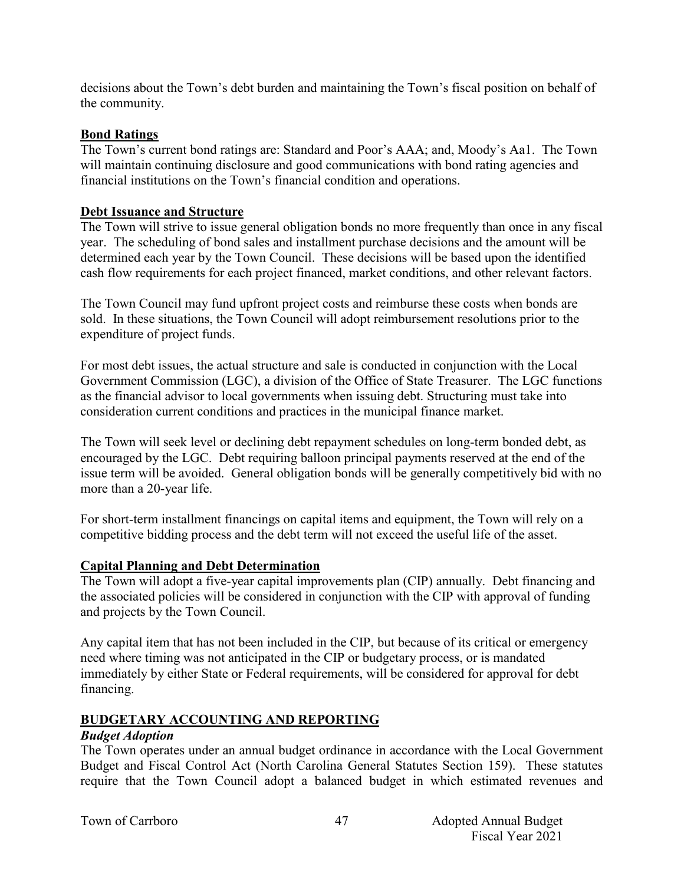decisions about the Town's debt burden and maintaining the Town's fiscal position on behalf of the community.

#### **Bond Ratings**

The Town's current bond ratings are: Standard and Poor's AAA; and, Moody's Aa1. The Town will maintain continuing disclosure and good communications with bond rating agencies and financial institutions on the Town's financial condition and operations.

#### **Debt Issuance and Structure**

The Town will strive to issue general obligation bonds no more frequently than once in any fiscal year. The scheduling of bond sales and installment purchase decisions and the amount will be determined each year by the Town Council. These decisions will be based upon the identified cash flow requirements for each project financed, market conditions, and other relevant factors.

The Town Council may fund upfront project costs and reimburse these costs when bonds are sold. In these situations, the Town Council will adopt reimbursement resolutions prior to the expenditure of project funds.

For most debt issues, the actual structure and sale is conducted in conjunction with the Local Government Commission (LGC), a division of the Office of State Treasurer. The LGC functions as the financial advisor to local governments when issuing debt. Structuring must take into consideration current conditions and practices in the municipal finance market.

The Town will seek level or declining debt repayment schedules on long-term bonded debt, as encouraged by the LGC. Debt requiring balloon principal payments reserved at the end of the issue term will be avoided. General obligation bonds will be generally competitively bid with no more than a 20-year life.

For short-term installment financings on capital items and equipment, the Town will rely on a competitive bidding process and the debt term will not exceed the useful life of the asset.

## **Capital Planning and Debt Determination**

The Town will adopt a five-year capital improvements plan (CIP) annually. Debt financing and the associated policies will be considered in conjunction with the CIP with approval of funding and projects by the Town Council.

Any capital item that has not been included in the CIP, but because of its critical or emergency need where timing was not anticipated in the CIP or budgetary process, or is mandated immediately by either State or Federal requirements, will be considered for approval for debt financing.

## **BUDGETARY ACCOUNTING AND REPORTING**

#### *Budget Adoption*

The Town operates under an annual budget ordinance in accordance with the Local Government Budget and Fiscal Control Act (North Carolina General Statutes Section 159). These statutes require that the Town Council adopt a balanced budget in which estimated revenues and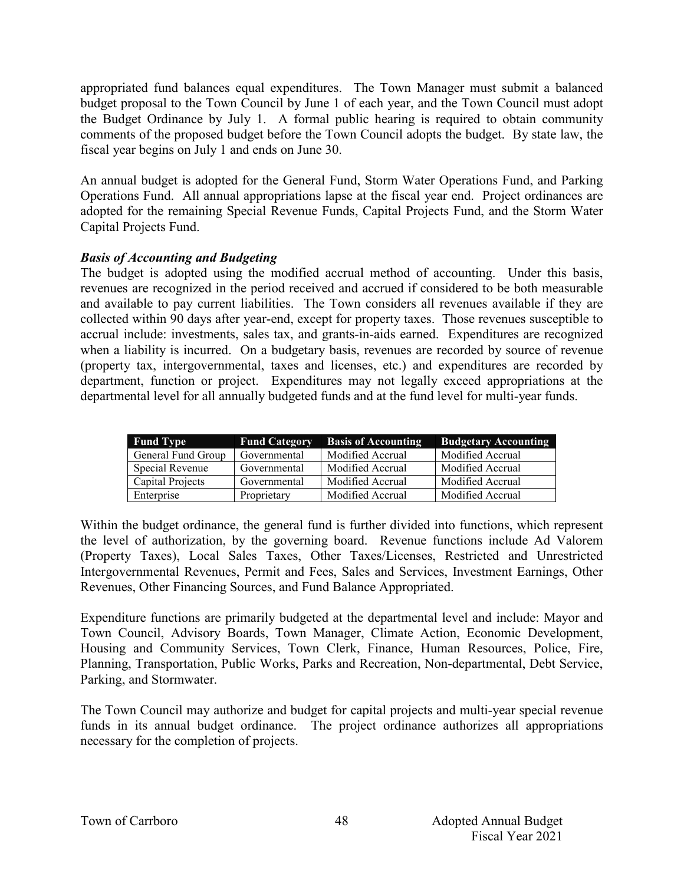appropriated fund balances equal expenditures. The Town Manager must submit a balanced budget proposal to the Town Council by June 1 of each year, and the Town Council must adopt the Budget Ordinance by July 1. A formal public hearing is required to obtain community comments of the proposed budget before the Town Council adopts the budget. By state law, the fiscal year begins on July 1 and ends on June 30.

An annual budget is adopted for the General Fund, Storm Water Operations Fund, and Parking Operations Fund. All annual appropriations lapse at the fiscal year end. Project ordinances are adopted for the remaining Special Revenue Funds, Capital Projects Fund, and the Storm Water Capital Projects Fund.

## *Basis of Accounting and Budgeting*

The budget is adopted using the modified accrual method of accounting. Under this basis, revenues are recognized in the period received and accrued if considered to be both measurable and available to pay current liabilities. The Town considers all revenues available if they are collected within 90 days after year-end, except for property taxes. Those revenues susceptible to accrual include: investments, sales tax, and grants-in-aids earned. Expenditures are recognized when a liability is incurred. On a budgetary basis, revenues are recorded by source of revenue (property tax, intergovernmental, taxes and licenses, etc.) and expenditures are recorded by department, function or project. Expenditures may not legally exceed appropriations at the departmental level for all annually budgeted funds and at the fund level for multi-year funds.

| <b>Fund Type</b>   | <b>Fund Category</b> | <b>Basis of Accounting</b> | <b>Budgetary Accounting</b> |
|--------------------|----------------------|----------------------------|-----------------------------|
| General Fund Group | Governmental         | Modified Accrual           | Modified Accrual            |
| Special Revenue    | Governmental         | Modified Accrual           | Modified Accrual            |
| Capital Projects   | Governmental         | Modified Accrual           | Modified Accrual            |
| Enterprise         | Proprietary          | Modified Accrual           | Modified Accrual            |

Within the budget ordinance, the general fund is further divided into functions, which represent the level of authorization, by the governing board. Revenue functions include Ad Valorem (Property Taxes), Local Sales Taxes, Other Taxes/Licenses, Restricted and Unrestricted Intergovernmental Revenues, Permit and Fees, Sales and Services, Investment Earnings, Other Revenues, Other Financing Sources, and Fund Balance Appropriated.

Expenditure functions are primarily budgeted at the departmental level and include: Mayor and Town Council, Advisory Boards, Town Manager, Climate Action, Economic Development, Housing and Community Services, Town Clerk, Finance, Human Resources, Police, Fire, Planning, Transportation, Public Works, Parks and Recreation, Non-departmental, Debt Service, Parking, and Stormwater.

The Town Council may authorize and budget for capital projects and multi-year special revenue funds in its annual budget ordinance. The project ordinance authorizes all appropriations necessary for the completion of projects.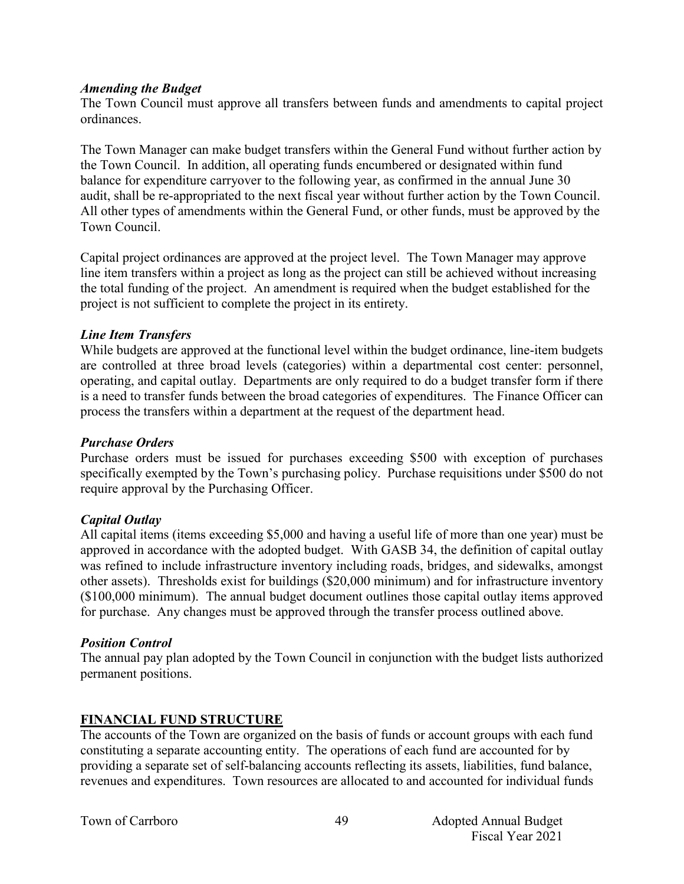#### *Amending the Budget*

The Town Council must approve all transfers between funds and amendments to capital project ordinances.

The Town Manager can make budget transfers within the General Fund without further action by the Town Council. In addition, all operating funds encumbered or designated within fund balance for expenditure carryover to the following year, as confirmed in the annual June 30 audit, shall be re-appropriated to the next fiscal year without further action by the Town Council. All other types of amendments within the General Fund, or other funds, must be approved by the Town Council.

Capital project ordinances are approved at the project level. The Town Manager may approve line item transfers within a project as long as the project can still be achieved without increasing the total funding of the project. An amendment is required when the budget established for the project is not sufficient to complete the project in its entirety.

#### *Line Item Transfers*

While budgets are approved at the functional level within the budget ordinance, line-item budgets are controlled at three broad levels (categories) within a departmental cost center: personnel, operating, and capital outlay. Departments are only required to do a budget transfer form if there is a need to transfer funds between the broad categories of expenditures. The Finance Officer can process the transfers within a department at the request of the department head.

#### *Purchase Orders*

Purchase orders must be issued for purchases exceeding \$500 with exception of purchases specifically exempted by the Town's purchasing policy. Purchase requisitions under \$500 do not require approval by the Purchasing Officer.

## *Capital Outlay*

All capital items (items exceeding \$5,000 and having a useful life of more than one year) must be approved in accordance with the adopted budget. With GASB 34, the definition of capital outlay was refined to include infrastructure inventory including roads, bridges, and sidewalks, amongst other assets). Thresholds exist for buildings (\$20,000 minimum) and for infrastructure inventory (\$100,000 minimum). The annual budget document outlines those capital outlay items approved for purchase. Any changes must be approved through the transfer process outlined above.

#### *Position Control*

The annual pay plan adopted by the Town Council in conjunction with the budget lists authorized permanent positions.

## **FINANCIAL FUND STRUCTURE**

The accounts of the Town are organized on the basis of funds or account groups with each fund constituting a separate accounting entity. The operations of each fund are accounted for by providing a separate set of self-balancing accounts reflecting its assets, liabilities, fund balance, revenues and expenditures. Town resources are allocated to and accounted for individual funds